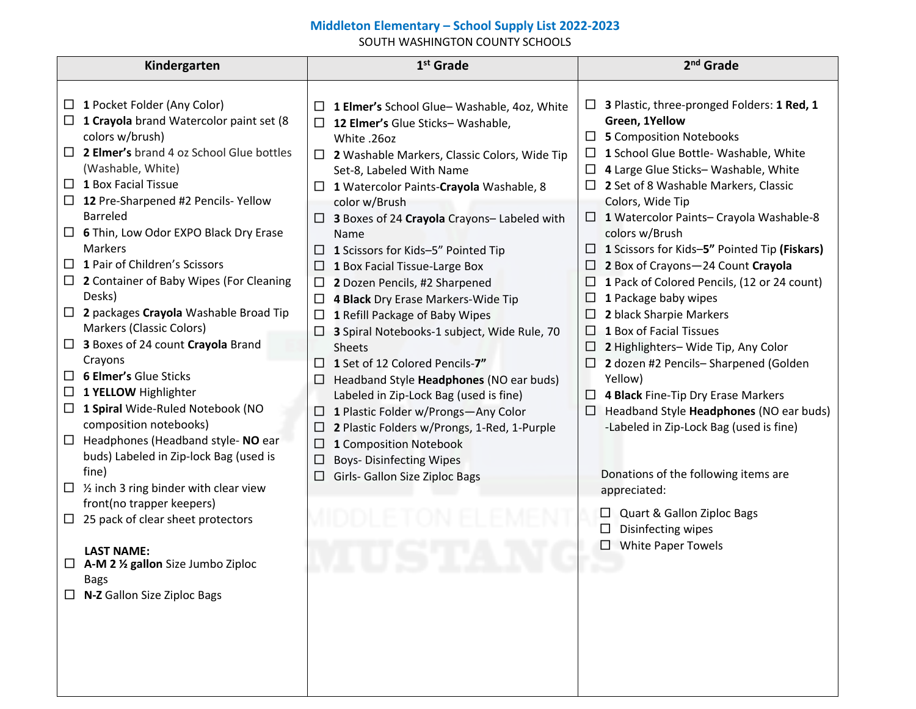## **Middleton Elementary – School Supply List 2022-2023**

SOUTH WASHINGTON COUNTY SCHOOLS

| Kindergarten                                                                                                                                                                                                                                                                                                                                                                                                                                                                                                                                                                                                                                                                                                                                                                                                                                                                                                                                                                                                                                                                              | $1st$ Grade                                                                                                                                                                                                                                                                                                                                                                                                                                                                                                                                                                                                                                                                                                                                                                                                                                                                                                                                         | 2 <sup>nd</sup> Grade                                                                                                                                                                                                                                                                                                                                                                                                                                                                                                                                                                                                                                                                                                                                                                                                                                                                                                                                                  |
|-------------------------------------------------------------------------------------------------------------------------------------------------------------------------------------------------------------------------------------------------------------------------------------------------------------------------------------------------------------------------------------------------------------------------------------------------------------------------------------------------------------------------------------------------------------------------------------------------------------------------------------------------------------------------------------------------------------------------------------------------------------------------------------------------------------------------------------------------------------------------------------------------------------------------------------------------------------------------------------------------------------------------------------------------------------------------------------------|-----------------------------------------------------------------------------------------------------------------------------------------------------------------------------------------------------------------------------------------------------------------------------------------------------------------------------------------------------------------------------------------------------------------------------------------------------------------------------------------------------------------------------------------------------------------------------------------------------------------------------------------------------------------------------------------------------------------------------------------------------------------------------------------------------------------------------------------------------------------------------------------------------------------------------------------------------|------------------------------------------------------------------------------------------------------------------------------------------------------------------------------------------------------------------------------------------------------------------------------------------------------------------------------------------------------------------------------------------------------------------------------------------------------------------------------------------------------------------------------------------------------------------------------------------------------------------------------------------------------------------------------------------------------------------------------------------------------------------------------------------------------------------------------------------------------------------------------------------------------------------------------------------------------------------------|
| 1 Pocket Folder (Any Color)<br>$\bullet$<br>1 Crayola brand Watercolor paint set (8<br>colors w/brush)<br>2 Elmer's brand 4 oz School Glue bottles<br>$\bullet$<br>(Washable, White)<br>1 Box Facial Tissue<br>$\bullet$<br>12 Pre-Sharpened #2 Pencils-Yellow<br>Barreled<br>6 Thin, Low Odor EXPO Black Dry Erase<br><b>Markers</b><br>1 Pair of Children's Scissors<br>$\bullet$<br>2 Container of Baby Wipes (For Cleaning<br>Desks)<br>2 packages Crayola Washable Broad Tip<br>$\bullet$<br>Markers (Classic Colors)<br>3 Boxes of 24 count Crayola Brand<br>$\bullet$<br>Crayons<br><b>6 Elmer's Glue Sticks</b><br>$\bullet$<br>1 YELLOW Highlighter<br>$\bullet$<br>1 Spiral Wide-Ruled Notebook (NO<br>$\bullet$<br>composition notebooks)<br>Headphones (Headband style- NO ear<br>$\bullet$<br>buds) Labeled in Zip-lock Bag (used is<br>fine)<br>$\frac{1}{2}$ inch 3 ring binder with clear view<br>front(no trapper keepers)<br>25 pack of clear sheet protectors<br><b>LAST NAME:</b><br>A-M 2 1/2 gallon Size Jumbo Ziploc<br><b>Bags</b><br>N-Z Gallon Size Ziploc Bags | 1 Elmer's School Glue-Washable, 4oz, White<br>$\bullet$<br>12 Elmer's Glue Sticks-Washable,<br>$\bullet$<br>White .26oz<br>2 Washable Markers, Classic Colors, Wide Tip<br>$\bullet$<br>Set-8, Labeled With Name<br>1 Watercolor Paints-Crayola Washable, 8<br>color w/Brush<br>3 Boxes of 24 Crayola Crayons- Labeled with<br>Name<br>1 Scissors for Kids-5" Pointed Tip<br>1 Box Facial Tissue-Large Box<br>$\bullet$<br>2 Dozen Pencils, #2 Sharpened<br>$\bullet$<br>4 Black Dry Erase Markers-Wide Tip<br>$\bullet$<br>1 Refill Package of Baby Wipes<br>$\bullet$<br>3 Spiral Notebooks-1 subject, Wide Rule, 70<br><b>Sheets</b><br>1 Set of 12 Colored Pencils-7"<br>Headband Style Headphones (NO ear buds)<br>Labeled in Zip-Lock Bag (used is fine)<br>1 Plastic Folder w/Prongs-Any Color<br>2 Plastic Folders w/Prongs, 1-Red, 1-Purple<br>1 Composition Notebook<br><b>Boys- Disinfecting Wipes</b><br>Girls- Gallon Size Ziploc Bags | 3 Plastic, three-pronged Folders: 1 Red, 1<br>Green, 1Yellow<br><b>5</b> Composition Notebooks<br>$\bullet$<br>1 School Glue Bottle- Washable, White<br>4 Large Glue Sticks-Washable, White<br>$\bullet$<br>2 Set of 8 Washable Markers, Classic<br>Colors, Wide Tip<br>1 Watercolor Paints- Crayola Washable-8<br>colors w/Brush<br>1 Scissors for Kids-5" Pointed Tip (Fiskars)<br>$\bullet$<br>2 Box of Crayons-24 Count Crayola<br>$\bullet$<br>1 Pack of Colored Pencils, (12 or 24 count)<br>1 Package baby wipes<br>2 black Sharpie Markers<br>$\bullet$<br>1 Box of Facial Tissues<br>$\bullet$<br>2 Highlighters- Wide Tip, Any Color<br>2 dozen #2 Pencils-Sharpened (Golden<br>Yellow)<br>4 Black Fine-Tip Dry Erase Markers<br>Headband Style Headphones (NO ear buds)<br>-Labeled in Zip-Lock Bag (used is fine)<br>Donations of the following items are<br>appreciated:<br>Quart & Gallon Ziploc Bags<br>Disinfecting wipes<br><b>White Paper Towels</b> |
|                                                                                                                                                                                                                                                                                                                                                                                                                                                                                                                                                                                                                                                                                                                                                                                                                                                                                                                                                                                                                                                                                           |                                                                                                                                                                                                                                                                                                                                                                                                                                                                                                                                                                                                                                                                                                                                                                                                                                                                                                                                                     |                                                                                                                                                                                                                                                                                                                                                                                                                                                                                                                                                                                                                                                                                                                                                                                                                                                                                                                                                                        |